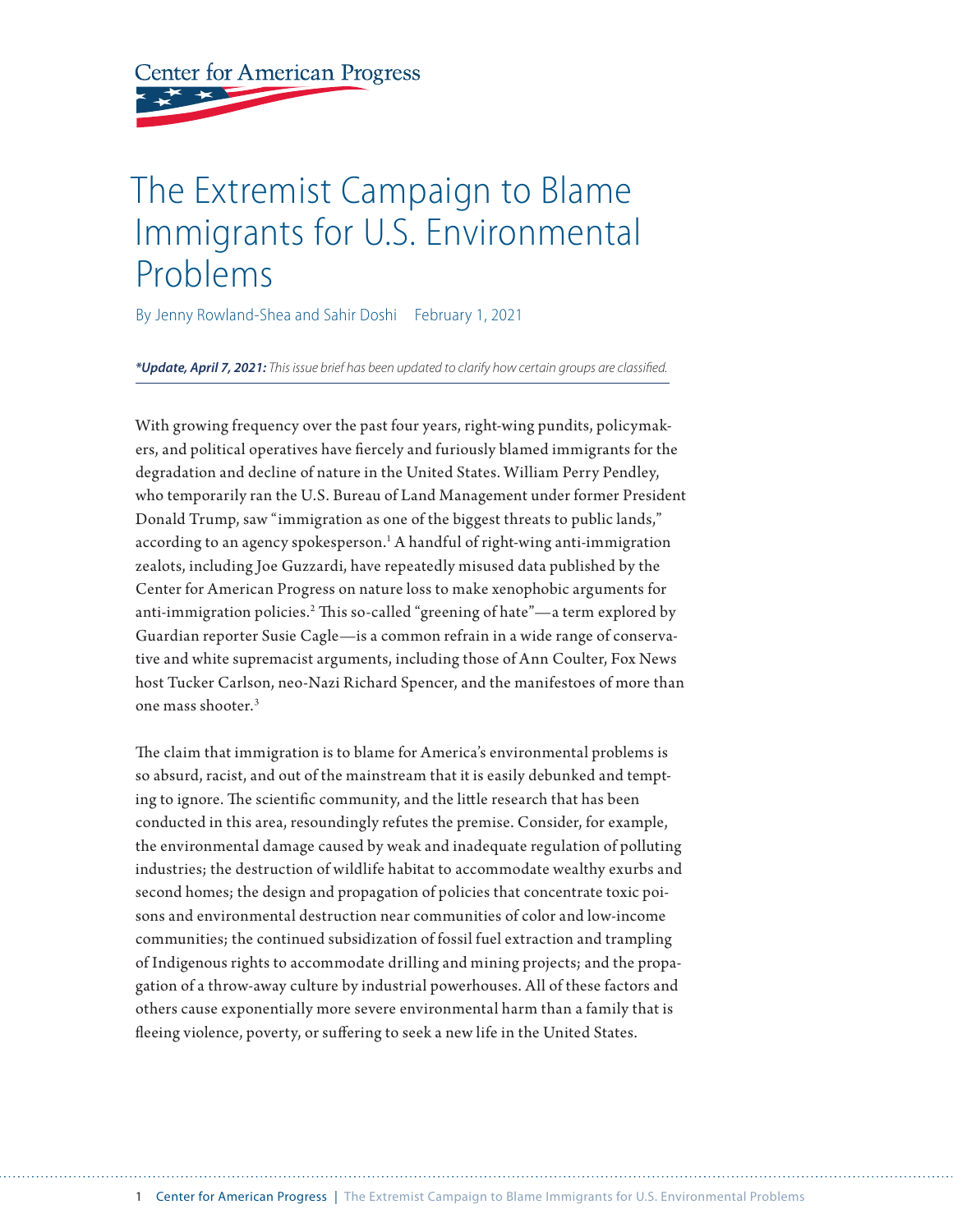**Center for American Progress** 

# The Extremist Campaign to Blame Immigrants for U.S. Environmental Problems

By Jenny Rowland-Shea and Sahir Doshi February 1, 2021

*\*Update, April 7, 2021: This issue brief has been updated to clarify how certain groups are classified.*

With growing frequency over the past four years, right-wing pundits, policymakers, and political operatives have fiercely and furiously blamed immigrants for the degradation and decline of nature in the United States. William Perry Pendley, who temporarily ran the U.S. Bureau of Land Management under former President Donald Trump, saw "immigration as one of the biggest threats to public lands," according to an agency spokesperson.<sup>1</sup> A handful of right-wing anti-immigration zealots, including Joe Guzzardi, have repeatedly misused data published by the Center for American Progress on nature loss to make xenophobic arguments for anti-immigration policies.<sup>2</sup> This so-called "greening of hate"—a term explored by Guardian reporter Susie Cagle—is a common refrain in a wide range of conservative and white supremacist arguments, including those of Ann Coulter, Fox News host Tucker Carlson, neo-Nazi Richard Spencer, and the manifestoes of more than one mass shooter.3

The claim that immigration is to blame for America's environmental problems is so absurd, racist, and out of the mainstream that it is easily debunked and tempting to ignore. The scientific community, and the little research that has been conducted in this area, resoundingly refutes the premise. Consider, for example, the environmental damage caused by weak and inadequate regulation of polluting industries; the destruction of wildlife habitat to accommodate wealthy exurbs and second homes; the design and propagation of policies that concentrate toxic poisons and environmental destruction near communities of color and low-income communities; the continued subsidization of fossil fuel extraction and trampling of Indigenous rights to accommodate drilling and mining projects; and the propagation of a throw-away culture by industrial powerhouses. All of these factors and others cause exponentially more severe environmental harm than a family that is fleeing violence, poverty, or suffering to seek a new life in the United States.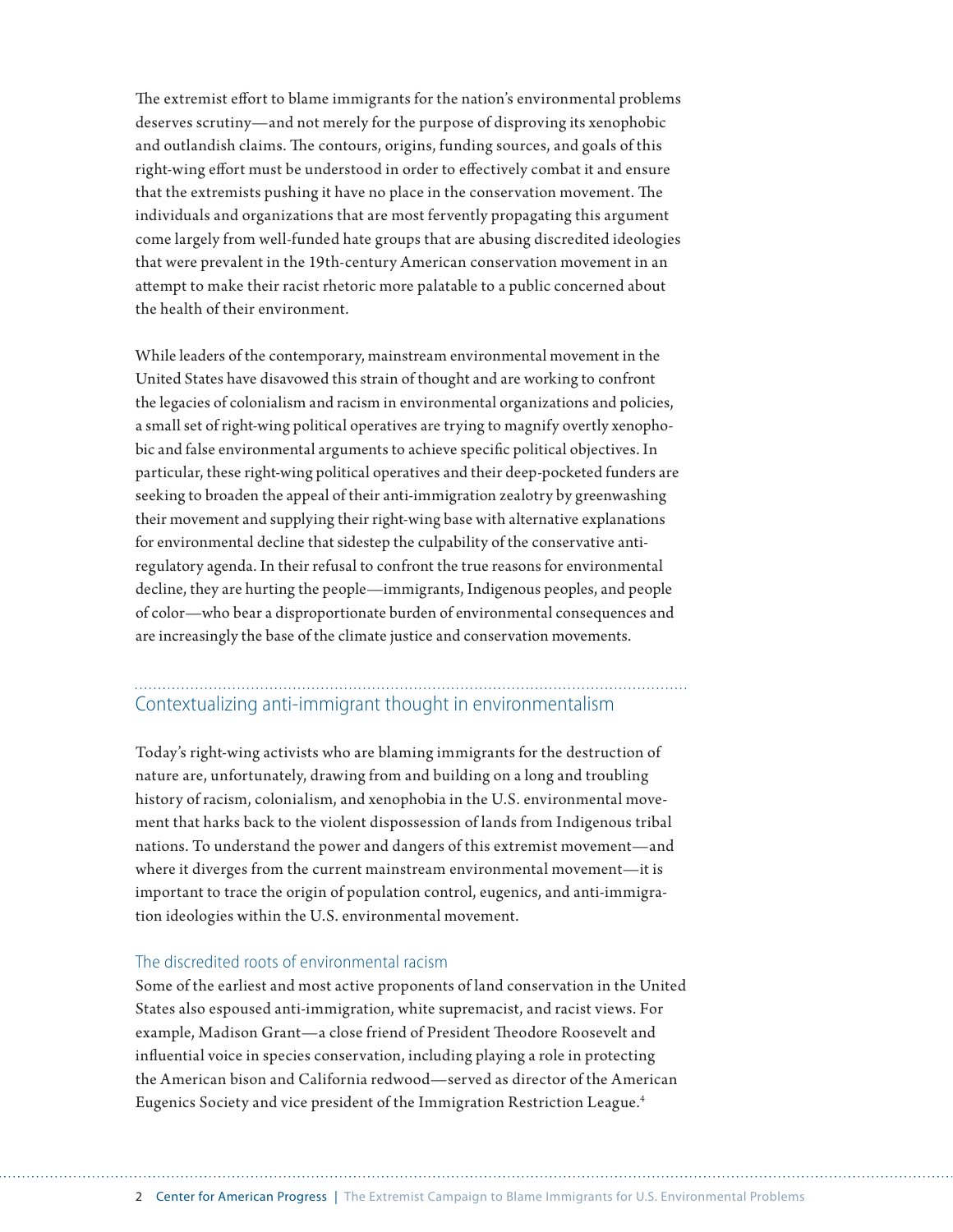The extremist effort to blame immigrants for the nation's environmental problems deserves scrutiny—and not merely for the purpose of disproving its xenophobic and outlandish claims. The contours, origins, funding sources, and goals of this right-wing effort must be understood in order to effectively combat it and ensure that the extremists pushing it have no place in the conservation movement. The individuals and organizations that are most fervently propagating this argument come largely from well-funded hate groups that are abusing discredited ideologies that were prevalent in the 19th-century American conservation movement in an attempt to make their racist rhetoric more palatable to a public concerned about the health of their environment.

While leaders of the contemporary, mainstream environmental movement in the United States have disavowed this strain of thought and are working to confront the legacies of colonialism and racism in environmental organizations and policies, a small set of right-wing political operatives are trying to magnify overtly xenophobic and false environmental arguments to achieve specific political objectives. In particular, these right-wing political operatives and their deep-pocketed funders are seeking to broaden the appeal of their anti-immigration zealotry by greenwashing their movement and supplying their right-wing base with alternative explanations for environmental decline that sidestep the culpability of the conservative antiregulatory agenda. In their refusal to confront the true reasons for environmental decline, they are hurting the people—immigrants, Indigenous peoples, and people of color—who bear a disproportionate burden of environmental consequences and are increasingly the base of the climate justice and conservation movements.

## Contextualizing anti-immigrant thought in environmentalism

Today's right-wing activists who are blaming immigrants for the destruction of nature are, unfortunately, drawing from and building on a long and troubling history of racism, colonialism, and xenophobia in the U.S. environmental movement that harks back to the violent dispossession of lands from Indigenous tribal nations. To understand the power and dangers of this extremist movement—and where it diverges from the current mainstream environmental movement—it is important to trace the origin of population control, eugenics, and anti-immigration ideologies within the U.S. environmental movement.

#### The discredited roots of environmental racism

Some of the earliest and most active proponents of land conservation in the United States also espoused anti-immigration, white supremacist, and racist views. For example, Madison Grant—a close friend of President Theodore Roosevelt and influential voice in species conservation, including playing a role in protecting the American bison and California redwood—served as director of the American Eugenics Society and vice president of the Immigration Restriction League.4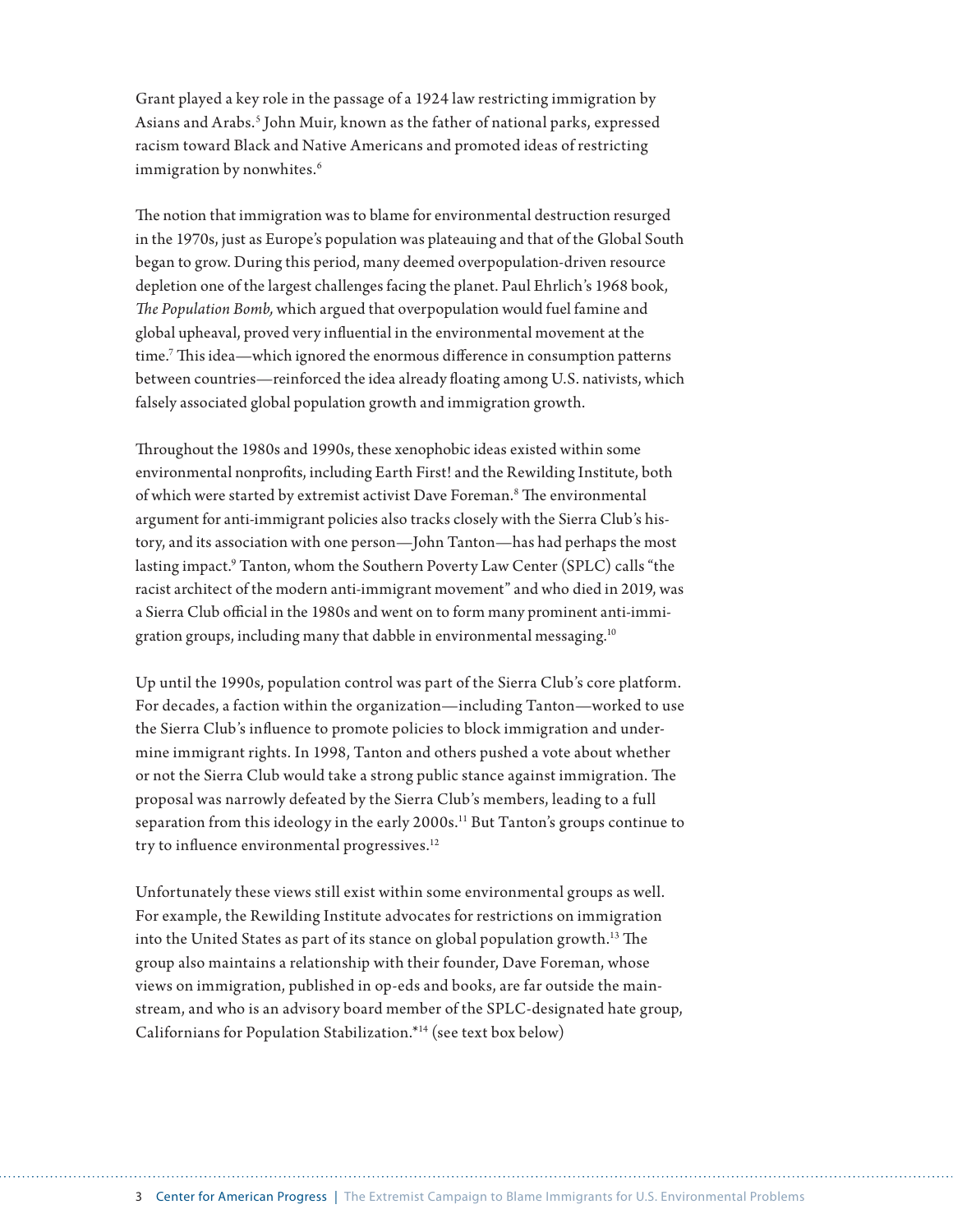Grant played a key role in the passage of a 1924 law restricting immigration by Asians and Arabs.<sup>5</sup> John Muir, known as the father of national parks, expressed racism toward Black and Native Americans and promoted ideas of restricting immigration by nonwhites.<sup>6</sup>

The notion that immigration was to blame for environmental destruction resurged in the 1970s, just as Europe's population was plateauing and that of the Global South began to grow. During this period, many deemed overpopulation-driven resource depletion one of the largest challenges facing the planet. Paul Ehrlich's 1968 book, *The Population Bomb,* which argued that overpopulation would fuel famine and global upheaval, proved very influential in the environmental movement at the time.7 This idea—which ignored the enormous difference in consumption patterns between countries—reinforced the idea already floating among U.S. nativists, which falsely associated global population growth and immigration growth.

Throughout the 1980s and 1990s, these xenophobic ideas existed within some environmental nonprofits, including Earth First! and the Rewilding Institute, both of which were started by extremist activist Dave Foreman.<sup>8</sup> The environmental argument for anti-immigrant policies also tracks closely with the Sierra Club's history, and its association with one person—John Tanton—has had perhaps the most lasting impact.<sup>9</sup> Tanton, whom the Southern Poverty Law Center (SPLC) calls "the racist architect of the modern anti-immigrant movement" and who died in 2019, was a Sierra Club official in the 1980s and went on to form many prominent anti-immigration groups, including many that dabble in environmental messaging.10

Up until the 1990s, population control was part of the Sierra Club's core platform. For decades, a faction within the organization—including Tanton—worked to use the Sierra Club's influence to promote policies to block immigration and undermine immigrant rights. In 1998, Tanton and others pushed a vote about whether or not the Sierra Club would take a strong public stance against immigration. The proposal was narrowly defeated by the Sierra Club's members, leading to a full separation from this ideology in the early 2000s.<sup>11</sup> But Tanton's groups continue to try to influence environmental progressives.<sup>12</sup>

Unfortunately these views still exist within some environmental groups as well. For example, the Rewilding Institute advocates for restrictions on immigration into the United States as part of its stance on global population growth.<sup>13</sup> The group also maintains a relationship with their founder, Dave Foreman, whose views on immigration, published in op-eds and books, are far outside the mainstream, and who is an advisory board member of the SPLC-designated hate group, Californians for Population Stabilization.\*14 (see text box below)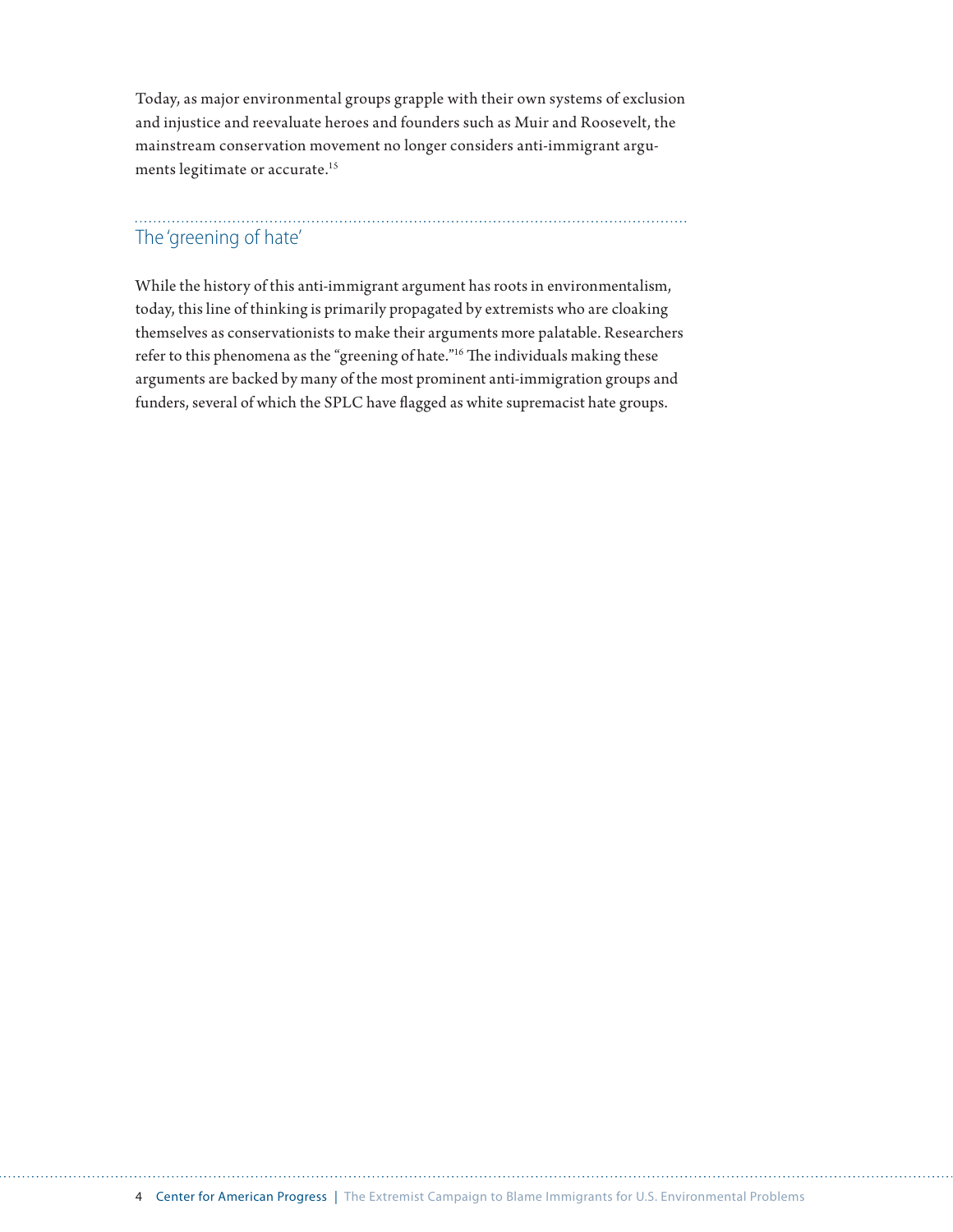Today, as major environmental groups grapple with their own systems of exclusion and injustice and reevaluate heroes and founders such as Muir and Roosevelt, the mainstream conservation movement no longer considers anti-immigrant arguments legitimate or accurate.15

## The 'greening of hate'

While the history of this anti-immigrant argument has roots in environmentalism, today, this line of thinking is primarily propagated by extremists who are cloaking themselves as conservationists to make their arguments more palatable. Researchers refer to this phenomena as the "greening of hate."16 The individuals making these arguments are backed by many of the most prominent anti-immigration groups and funders, several of which the SPLC have flagged as white supremacist hate groups.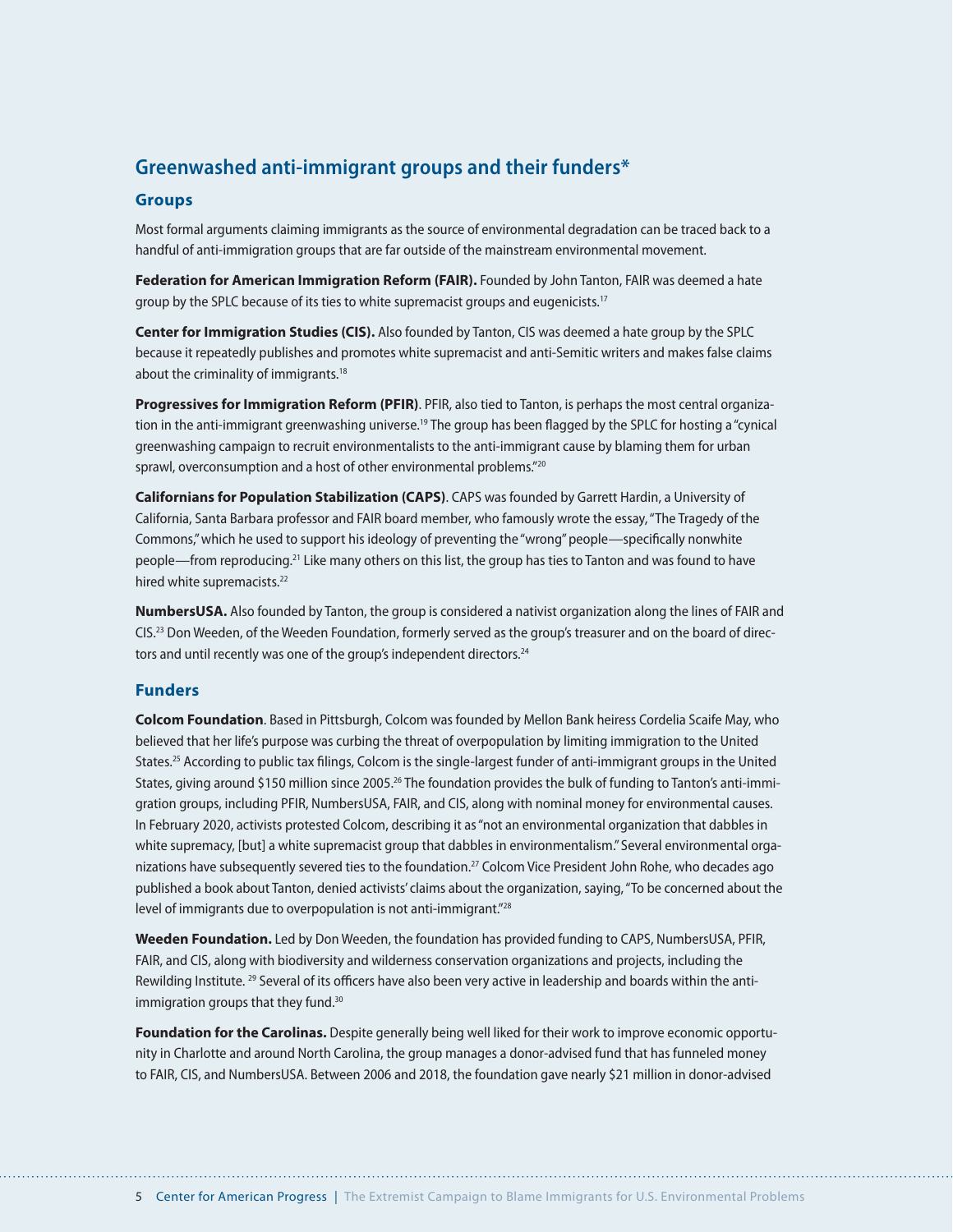## **Greenwashed anti-immigrant groups and their funders\***

#### **Groups**

Most formal arguments claiming immigrants as the source of environmental degradation can be traced back to a handful of anti-immigration groups that are far outside of the mainstream environmental movement.

**Federation for American Immigration Reform (FAIR).** Founded by John Tanton, FAIR was deemed a hate group by the SPLC because of its ties to white supremacist groups and eugenicists.17

**Center for Immigration Studies (CIS).** Also founded by Tanton, CIS was [deemed](https://www.splcenter.org/fighting-hate/extremist-files/groups) a hate group by the SPLC because it repeatedly publishes and promotes white supremacist and anti-Semitic writers and makes false claims about the criminality of immigrants.18

**Progressives for Immigration Reform (PFIR)**. PFIR, also tied to Tanton, is perhaps the most [central](https://www.splcenter.org/hatewatch/2010/10/08/anti-immigrant-groups-continue-greenwashing-campaign) organization in the anti-immigrant greenwashing universe.19 The group has been flagged by the SPLC for hosting a "cynical greenwashing campaign to recruit environmentalists to the anti-immigrant cause by blaming them for urban sprawl, overconsumption and a host of other environmental problems."<sup>20</sup>

**Californians for Population Stabilization (CAPS)**. CAPS was founded by Garrett Hardin, a University of California, Santa Barbara professor and FAIR board member, who famously wrote the essay, "The Tragedy of the Commons," which he used to support his ideology of preventing the "wrong" people—specifically nonwhite people—from reproducing.21 Like many others on this list, the group has ties to Tanton and was found to have hired white supremacists.<sup>22</sup>

**NumbersUSA.** Also founded by Tanton, the group is considered a nativist organization along the lines of FAIR and CIS.23 Don Weeden, of the Weeden Foundation, formerly served as the group's treasurer and on the board of directors and until recently was one of the group's independent directors.<sup>24</sup>

#### **Funders**

**Colcom Foundation**. Based in Pittsburgh, Colcom was founded by Mellon Bank heiress Cordelia Scaife May, who believed that her life's purpose was curbing the threat of overpopulation by limiting immigration to the United States.25 According to public tax filings, Colcom is the single-largest funder of anti-immigrant groups in the United States, giving around \$150 million since 2005.<sup>26</sup> The foundation provides the bulk of funding to Tanton's anti-immigration groups, including PFIR, NumbersUSA, FAIR, and CIS, along with nominal money for environmental causes. In February 2020, activists protested Colcom, describing it as "not an environmental organization that dabbles in white supremacy, [but] a white supremacist group that dabbles in environmentalism." Several environmental organizations have subsequently severed ties to the foundation.27 Colcom Vice President John Rohe, who decades ago published a book about Tanton, denied activists' claims about the organization, saying, "To be concerned about the level of immigrants due to overpopulation is not anti-immigrant."28

**Weeden Foundation.** Led by Don Weeden, the foundation has provided funding to CAPS, NumbersUSA, PFIR, FAIR, and CIS, along with biodiversity and wilderness conservation organizations and projects, including the Rewilding Institute. <sup>29</sup> Several of its officers have also been very active in leadership and boards within the antiimmigration groups that they fund.<sup>30</sup>

**Foundation for the Carolinas.** Despite generally being well liked for their work to improve economic opportunity in Charlotte and around North Carolina, the group manages a donor-advised fund that has funneled money to FAIR, CIS, and NumbersUSA. Between 2006 and 2018, the foundation gave nearly \$21 million in donor-advised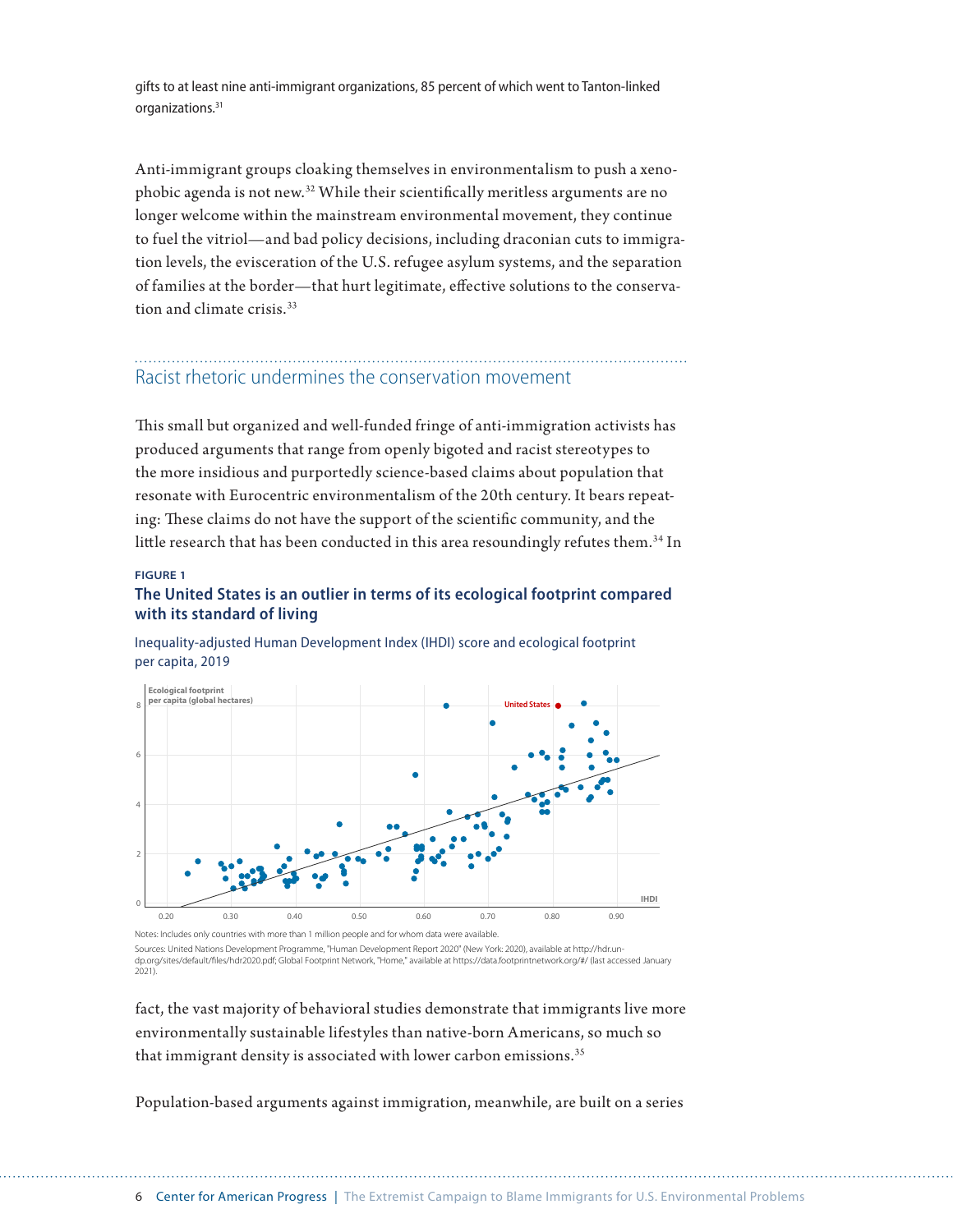gifts to at least nine anti-immigrant organizations, 85 percent of which went to Tanton-linked organizations.31

Anti-immigrant groups cloaking themselves in environmentalism to push a xenophobic agenda is not new.32 While their scientifically meritless arguments are no longer welcome within the mainstream environmental movement, they continue to fuel the vitriol—and bad policy decisions, including draconian cuts to immigration levels, the evisceration of the U.S. refugee asylum systems, and the separation of families at the border—that hurt legitimate, effective solutions to the conservation and climate crisis.<sup>33</sup>

## Racist rhetoric undermines the conservation movement

This small but organized and well-funded fringe of anti-immigration activists has produced arguments that range from openly bigoted and racist stereotypes to the more insidious and purportedly science-based claims about population that resonate with Eurocentric environmentalism of the 20th century. It bears repeating: These claims do not have the support of the scientific community, and the little research that has been conducted in this area resoundingly refutes them.<sup>34</sup> In

#### **FIGURE 1**

#### **The United States is an outlier in terms of its ecological footprint compared with its standard of living**



Inequality-adjusted Human Development Index (IHDI) score and ecological footprint per capita, 2019

Notes: Includes only countries with more than 1 million people and for whom data were available. Sources: United Nations Development Programme, "Human Development Report 2020" (New York: 2020), available at http://hdr.undp.org/sites/default/les/hdr2020.pdf; Global Footprint Network, "Home," available at https://data.footprintnetwork.org/#/ (last accessed January 2021).

fact, the vast majority of behavioral studies demonstrate that immigrants live more environmentally sustainable lifestyles than native-born Americans, so much so that immigrant density is associated with lower carbon emissions.<sup>35</sup>

Population-based arguments against immigration, meanwhile, are built on a series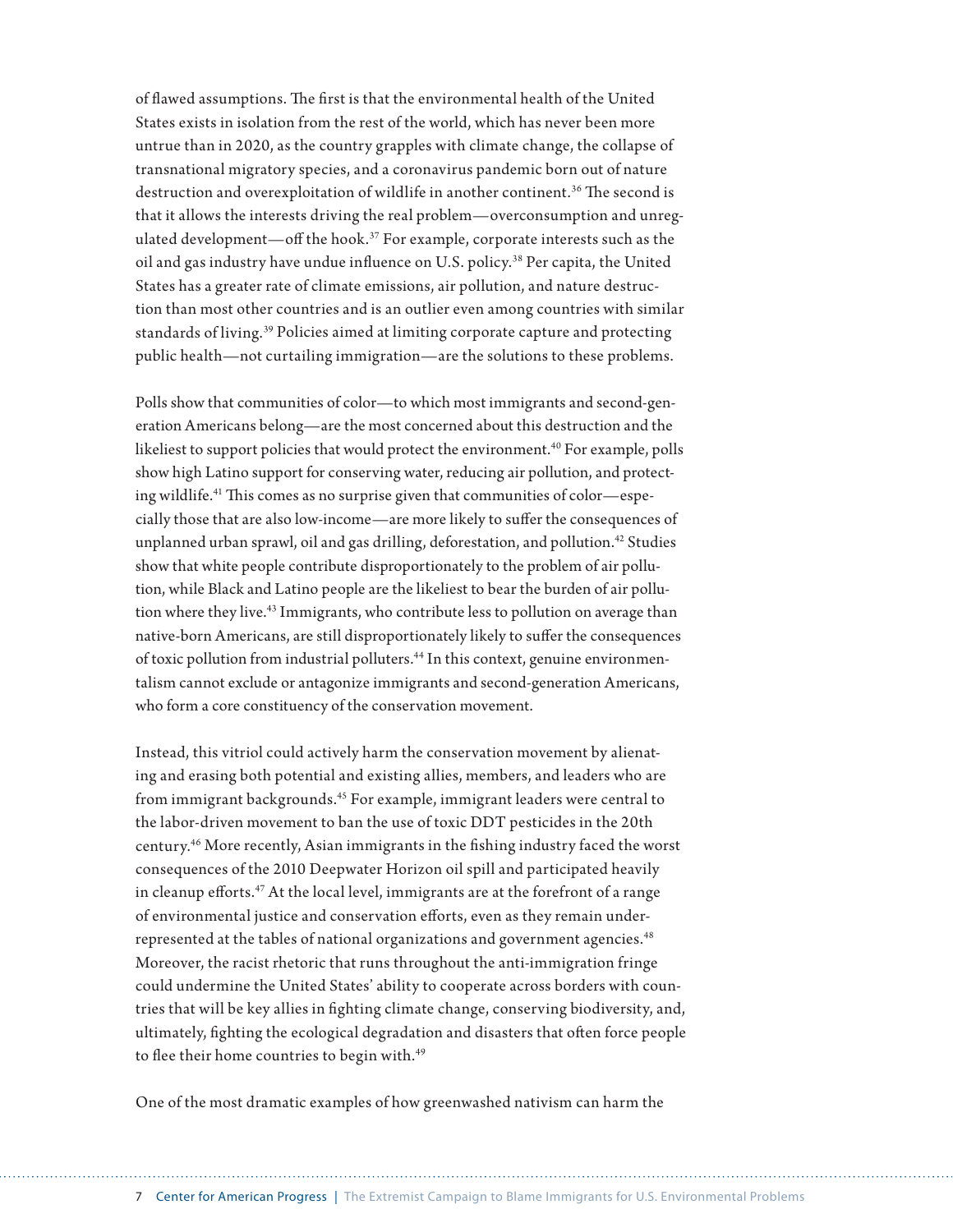of flawed assumptions. The first is that the environmental health of the United States exists in isolation from the rest of the world, which has never been more untrue than in 2020, as the country grapples with climate change, the collapse of transnational migratory species, and a coronavirus pandemic born out of nature destruction and overexploitation of wildlife in another continent.<sup>36</sup> The second is that it allows the interests driving the real problem—overconsumption and unregulated development—off the hook.37 For example, corporate interests such as the oil and gas industry have undue influence on U.S. policy.38 Per capita, the United States has a greater rate of climate emissions, air pollution, and nature destruction than most other countries and is an outlier even among countries with similar standards of living.<sup>39</sup> Policies aimed at limiting corporate capture and protecting public health—not curtailing immigration—are the solutions to these problems.

Polls show that communities of color—to which most immigrants and second-generation Americans belong—are the most concerned about this destruction and the likeliest to support policies that would protect the environment.<sup>40</sup> For example, polls show high Latino support for conserving water, reducing air pollution, and protecting wildlife.41 This comes as no surprise given that communities of color—especially those that are also low-income—are more likely to suffer the consequences of unplanned urban sprawl, oil and gas drilling, deforestation, and pollution.<sup>42</sup> Studies show that white people contribute disproportionately to the problem of air pollution, while Black and Latino people are the likeliest to bear the burden of air pollution where they live.<sup>43</sup> Immigrants, who contribute less to pollution on average than native-born Americans, are still disproportionately likely to suffer the consequences of toxic pollution from industrial polluters.<sup>44</sup> In this context, genuine environmentalism cannot exclude or antagonize immigrants and second-generation Americans, who form a core constituency of the conservation movement.

Instead, this vitriol could actively harm the conservation movement by alienating and erasing both potential and existing allies, members, and leaders who are from immigrant backgrounds.<sup>45</sup> For example, immigrant leaders were central to the labor-driven movement to ban the use of toxic DDT pesticides in the 20th century.46 More recently, Asian immigrants in the fishing industry faced the worst consequences of the 2010 Deepwater Horizon oil spill and participated heavily in cleanup efforts.<sup>47</sup> At the local level, immigrants are at the forefront of a range of environmental justice and conservation efforts, even as they remain underrepresented at the tables of national organizations and government agencies.<sup>48</sup> Moreover, the racist rhetoric that runs throughout the anti-immigration fringe could undermine the United States' ability to cooperate across borders with countries that will be key allies in fighting climate change, conserving biodiversity, and, ultimately, fighting the ecological degradation and disasters that often force people to flee their home countries to begin with.<sup>49</sup>

One of the most dramatic examples of how greenwashed nativism can harm the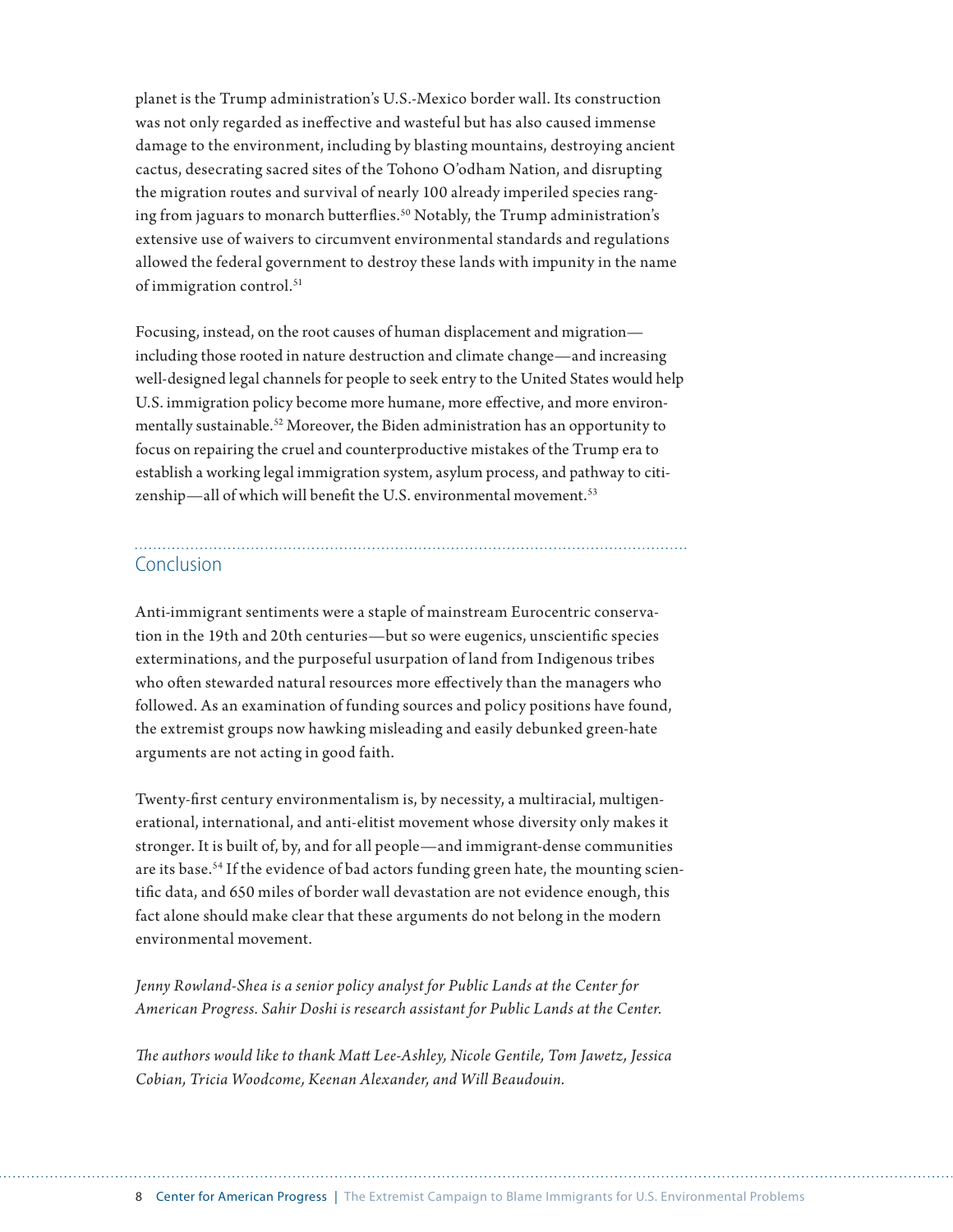planet is the Trump administration's U.S.-Mexico border wall. Its construction was not only regarded as ineffective and wasteful but has also caused immense damage to the environment, including by blasting mountains, destroying ancient cactus, desecrating sacred sites of the Tohono O'odham Nation, and disrupting the migration routes and survival of nearly 100 already imperiled species ranging from jaguars to monarch butterflies.<sup>50</sup> Notably, the Trump administration's extensive use of waivers to circumvent environmental standards and regulations allowed the federal government to destroy these lands with impunity in the name of immigration control.<sup>51</sup>

Focusing, instead, on the root causes of human displacement and migration including those rooted in nature destruction and climate change—and increasing well-designed legal channels for people to seek entry to the United States would help U.S. immigration policy become more humane, more effective, and more environmentally sustainable.52 Moreover, the Biden administration has an opportunity to focus on repairing the cruel and counterproductive mistakes of the Trump era to establish a working legal immigration system, asylum process, and pathway to citizenship—all of which will benefit the U.S. environmental movement.<sup>53</sup>

### Conclusion

Anti-immigrant sentiments were a staple of mainstream Eurocentric conservation in the 19th and 20th centuries—but so were eugenics, unscientific species exterminations, and the purposeful usurpation of land from Indigenous tribes who often stewarded natural resources more effectively than the managers who followed. As an examination of funding sources and policy positions have found, the extremist groups now hawking misleading and easily debunked green-hate arguments are not acting in good faith.

Twenty-first century environmentalism is, by necessity, a multiracial, multigenerational, international, and anti-elitist movement whose diversity only makes it stronger. It is built of, by, and for all people—and immigrant-dense communities are its base.<sup>54</sup> If the evidence of bad actors funding green hate, the mounting scientific data, and 650 miles of border wall devastation are not evidence enough, this fact alone should make clear that these arguments do not belong in the modern environmental movement.

*Jenny Rowland-Shea is a senior policy analyst for Public Lands at the Center for American Progress. Sahir Doshi is research assistant for Public Lands at the Center.* 

*The authors would like to thank Matt Lee-Ashley, Nicole Gentile, Tom Jawetz, Jessica Cobian, Tricia Woodcome, Keenan Alexander, and Will Beaudouin.*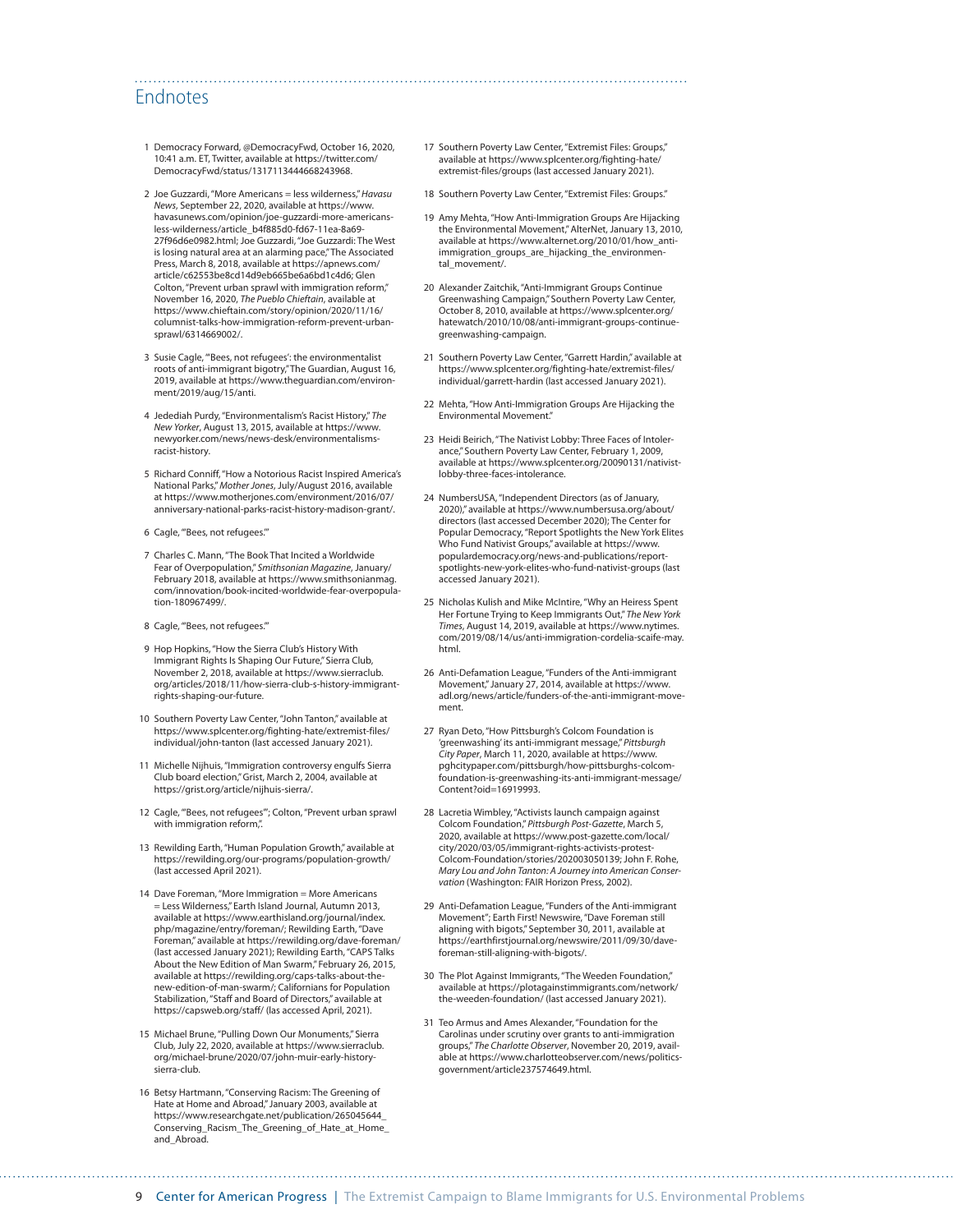### Endnotes

- 1 Democracy Forward, @DemocracyFwd, October 16, 2020, 10:41 a.m. ET, Twitter, available at [https://twitter.com/](https://twitter.com/DemocracyFwd/status/1317113444668243968) [DemocracyFwd/status/1317113444668243968](https://twitter.com/DemocracyFwd/status/1317113444668243968).
- 2 Joe Guzzardi, "More Americans = less wilderness," *Havasu News*, September 22, 2020, available at [https://www.](https://www.havasunews.com/opinion/joe-guzzardi-more-americans-less-wilderness/article_b4f885d0-fd67-11ea-8a69-27f96d6e0982.html) [havasunews.com/opinion/joe-guzzardi-more-americans](https://www.havasunews.com/opinion/joe-guzzardi-more-americans-less-wilderness/article_b4f885d0-fd67-11ea-8a69-27f96d6e0982.html)[less-wilderness/article\\_b4f885d0-fd67-11ea-8a69-](https://www.havasunews.com/opinion/joe-guzzardi-more-americans-less-wilderness/article_b4f885d0-fd67-11ea-8a69-27f96d6e0982.html) [27f96d6e0982.html;](https://www.havasunews.com/opinion/joe-guzzardi-more-americans-less-wilderness/article_b4f885d0-fd67-11ea-8a69-27f96d6e0982.html) Joe Guzzardi, "Joe Guzzardi: The West is losing natural area at an alarming pace," The Associated Press, March 8, 2018, available at [https://apnews.com/](https://apnews.com/article/c62553be8cd14d9eb665be6a6bd1c4d6) [article/c62553be8cd14d9eb665be6a6bd1c4d6;](https://apnews.com/article/c62553be8cd14d9eb665be6a6bd1c4d6) Glen Colton, "Prevent urban sprawl with immigration reform," November 16, 2020, *The Pueblo Chieftain*, available at [https://www.chieftain.com/story/opinion/2020/11/16/](https://www.chieftain.com/story/opinion/2020/11/16/columnist-talks-how-immigration-reform-prevent-urban-sprawl/6314669002/) [columnist-talks-how-immigration-reform-prevent-urban](https://www.chieftain.com/story/opinion/2020/11/16/columnist-talks-how-immigration-reform-prevent-urban-sprawl/6314669002/)[sprawl/6314669002/.](https://www.chieftain.com/story/opinion/2020/11/16/columnist-talks-how-immigration-reform-prevent-urban-sprawl/6314669002/)
- 3 Susie Cagle, "'Bees, not refugees': the environmentalist roots of anti-immigrant bigotry," The Guardian, August 16, 2019, available at [https://www.theguardian.com/environ](https://www.theguardian.com/environment/2019/aug/15/anti)[ment/2019/aug/15/anti](https://www.theguardian.com/environment/2019/aug/15/anti).
- 4 Jedediah Purdy, "Environmentalism's Racist History," *The New Yorker*, August 13, 2015, available at [https://www.](https://www.newyorker.com/news/news-desk/environmentalisms-racist-history) [newyorker.com/news/news-desk/environmentalisms](https://www.newyorker.com/news/news-desk/environmentalisms-racist-history)[racist-history.](https://www.newyorker.com/news/news-desk/environmentalisms-racist-history)
- 5 Richard Conniff, "How a Notorious Racist Inspired America's National Parks," *Mother Jones*, July/August 2016, available at [https://www.motherjones.com/environment/2016/07/](https://www.motherjones.com/environment/2016/07/anniversary-national-parks-racist-history-madison-grant/) [anniversary-national-parks-racist-history-madison-grant/.](https://www.motherjones.com/environment/2016/07/anniversary-national-parks-racist-history-madison-grant/)
- 6 Cagle, "'Bees, not refugees.'"
- 7 Charles C. Mann, "The Book That Incited a Worldwide Fear of Overpopulation," *Smithsonian Magazine*, January/ February 2018, available at [https://www.smithsonianmag.](https://www.smithsonianmag.com/innovation/book-incited-worldwide-fear-overpopulation-180967499/) [com/innovation/book-incited-worldwide-fear-overpopula](https://www.smithsonianmag.com/innovation/book-incited-worldwide-fear-overpopulation-180967499/)[tion-180967499/](https://www.smithsonianmag.com/innovation/book-incited-worldwide-fear-overpopulation-180967499/).
- 8 Cagle, "'Bees, not refugees.'"
- 9 Hop Hopkins, "How the Sierra Club's History With Immigrant Rights Is Shaping Our Future," Sierra Club, November 2, 2018, available at [https://www.sierraclub.](https://www.sierraclub.org/articles/2018/11/how-sierra-club-s-history-immigrant-rights-shaping-our-future) [org/articles/2018/11/how-sierra-club-s-history-immigrant](https://www.sierraclub.org/articles/2018/11/how-sierra-club-s-history-immigrant-rights-shaping-our-future)[rights-shaping-our-future](https://www.sierraclub.org/articles/2018/11/how-sierra-club-s-history-immigrant-rights-shaping-our-future).
- 10 Southern Poverty Law Center, "John Tanton," available at [https://www.splcenter.org/fighting-hate/extremist-files/](https://www.splcenter.org/fighting-hate/extremist-files/individual/john-tanton) [individual/john-tanton](https://www.splcenter.org/fighting-hate/extremist-files/individual/john-tanton) (last accessed January 2021).
- 11 Michelle Nijhuis, "Immigration controversy engulfs Sierra Club board election," Grist, March 2, 2004, available at [https://grist.org/article/nijhuis-sierra/.](https://grist.org/article/nijhuis-sierra/)
- 12 Cagle, "'Bees, not refugees'"; Colton, "Prevent urban sprawl with immigration reform,".
- 13 Rewilding Earth, "Human Population Growth," available at https://rewilding.org/our-programs/population-growth/ (last accessed April 2021).
- 14 Dave Foreman, "More Immigration = More Americans = Less Wilderness," Earth Island Journal, Autumn 2013, available at https://www.earthisland.org/journal/index. php/magazine/entry/foreman/; Rewilding Earth, "Dave Foreman," available at https://rewilding.org/dave-foreman/ (last accessed January 2021); Rewilding Earth, "CAPS Talks About the New Edition of Man Swarm," February 26, 2015, available at https://rewilding.org/caps-talks-about-thenew-edition-of-man-swarm/; Californians for Population Stabilization, "Staff and Board of Directors," available at https://capsweb.org/staff/ (las accessed April, 2021).
- 15 Michael Brune, "Pulling Down Our Monuments," Sierra Club, July 22, 2020, available at [https://www.sierraclub.](https://www.sierraclub.org/michael-brune/2020/07/john-muir-early-history-sierra-club) [org/michael-brune/2020/07/john-muir-early-history](https://www.sierraclub.org/michael-brune/2020/07/john-muir-early-history-sierra-club)[sierra-club](https://www.sierraclub.org/michael-brune/2020/07/john-muir-early-history-sierra-club).
- 16 Betsy Hartmann, "Conserving Racism: The Greening of Hate at Home and Abroad," January 2003, available at [https://www.researchgate.net/publication/265045644\\_](https://www.researchgate.net/publication/265045644_Conserving_Racism_The_Greening_of_Hate_at_Home_and_Abroad) [Conserving\\_Racism\\_The\\_Greening\\_of\\_Hate\\_at\\_Home\\_](https://www.researchgate.net/publication/265045644_Conserving_Racism_The_Greening_of_Hate_at_Home_and_Abroad) [and\\_Abroad.](https://www.researchgate.net/publication/265045644_Conserving_Racism_The_Greening_of_Hate_at_Home_and_Abroad)

17 Southern Poverty Law Center, "Extremist Files: Groups," available at [https://www.splcenter.org/fighting-hate/](https://www.splcenter.org/fighting-hate/extremist-files/groups) [extremist-files/groups](https://www.splcenter.org/fighting-hate/extremist-files/groups) (last accessed January 2021).

- 18 Southern Poverty Law Center, "Extremist Files: Groups."
- 19 Amy Mehta, "How Anti-Immigration Groups Are Hijacking the Environmental Movement," AlterNet, January 13, 2010, available at [https://www.alternet.org/2010/01/how\\_anti](https://www.alternet.org/2010/01/how_anti-immigration_groups_are_hijacking_the_environmental_movement/)[immigration\\_groups\\_are\\_hijacking\\_the\\_environmen](https://www.alternet.org/2010/01/how_anti-immigration_groups_are_hijacking_the_environmental_movement/)[tal\\_movement/](https://www.alternet.org/2010/01/how_anti-immigration_groups_are_hijacking_the_environmental_movement/).
- 20 Alexander Zaitchik, "Anti-Immigrant Groups Continue Greenwashing Campaign," Southern Poverty Law Center, October 8, 2010, available at [https://www.splcenter.org/](https://www.splcenter.org/hatewatch/2010/10/08/anti-immigrant-groups-continue-greenwashing-campaign) [hatewatch/2010/10/08/anti-immigrant-groups-continue](https://www.splcenter.org/hatewatch/2010/10/08/anti-immigrant-groups-continue-greenwashing-campaign)[greenwashing-campaign.](https://www.splcenter.org/hatewatch/2010/10/08/anti-immigrant-groups-continue-greenwashing-campaign)
- 21 Southern Poverty Law Center, "Garrett Hardin," available at [https://www.splcenter.org/fighting-hate/extremist-files/](https://www.splcenter.org/fighting-hate/extremist-files/individual/garrett-hardin) [individual/garrett-hardin](https://www.splcenter.org/fighting-hate/extremist-files/individual/garrett-hardin) (last accessed January 2021).
- 22 Mehta, "How Anti-Immigration Groups Are Hijacking the Environmental Movement."
- 23 Heidi Beirich, "The Nativist Lobby: Three Faces of Intolerance," Southern Poverty Law Center, February 1, 2009, available at [https://www.splcenter.org/20090131/nativist](https://www.splcenter.org/20090131/nativist-lobby-three-faces-intolerance)[lobby-three-faces-intolerance](https://www.splcenter.org/20090131/nativist-lobby-three-faces-intolerance).
- 24 NumbersUSA, "Independent Directors (as of January, 2020)," available at [https://www.numbersusa.org/about/](https://www.numbersusa.org/about/directors) [directors](https://www.numbersusa.org/about/directors) (last accessed December 2020); The Center for Popular Democracy, "Report Spotlights the New York Elites Who Fund Nativist Groups," available at [https://www.](https://www.populardemocracy.org/news-and-publications/report-spotlights-new-york-elites-who-fund-nativist-groups) [populardemocracy.org/news-and-publications/report](https://www.populardemocracy.org/news-and-publications/report-spotlights-new-york-elites-who-fund-nativist-groups)[spotlights-new-york-elites-who-fund-nativist-groups](https://www.populardemocracy.org/news-and-publications/report-spotlights-new-york-elites-who-fund-nativist-groups) (last accessed January 2021).
- 25 Nicholas Kulish and Mike McIntire, "Why an Heiress Spent Her Fortune Trying to Keep Immigrants Out," *The New York Times*, August 14, 2019, available at [https://www.nytimes.](https://www.nytimes.com/2019/08/14/us/anti-immigration-cordelia-scaife-may.html) [com/2019/08/14/us/anti-immigration-cordelia-scaife-may.](https://www.nytimes.com/2019/08/14/us/anti-immigration-cordelia-scaife-may.html) [html.](https://www.nytimes.com/2019/08/14/us/anti-immigration-cordelia-scaife-may.html)
- 26 Anti-Defamation League, "Funders of the Anti-immigrant Movement," January 27, 2014, available at [https://www.](https://www.adl.org/news/article/funders-of-the-anti-immigrant-movement) [adl.org/news/article/funders-of-the-anti-immigrant-move](https://www.adl.org/news/article/funders-of-the-anti-immigrant-movement)[ment](https://www.adl.org/news/article/funders-of-the-anti-immigrant-movement).
- 27 Ryan Deto, "How Pittsburgh's Colcom Foundation is 'greenwashing' its anti-immigrant message," *Pittsburgh City Paper*, March 11, 2020, available at [https://www.](https://www.pghcitypaper.com/pittsburgh/how-pittsburghs-colcom-foundation-is-greenwashing-its-anti-immigrant-message/Content?oid=16919993) [pghcitypaper.com/pittsburgh/how-pittsburghs-colcom](https://www.pghcitypaper.com/pittsburgh/how-pittsburghs-colcom-foundation-is-greenwashing-its-anti-immigrant-message/Content?oid=16919993)[foundation-is-greenwashing-its-anti-immigrant-message/](https://www.pghcitypaper.com/pittsburgh/how-pittsburghs-colcom-foundation-is-greenwashing-its-anti-immigrant-message/Content?oid=16919993) [Content?oid=16919993.](https://www.pghcitypaper.com/pittsburgh/how-pittsburghs-colcom-foundation-is-greenwashing-its-anti-immigrant-message/Content?oid=16919993)
- 28 Lacretia Wimbley, "Activists launch campaign against Colcom Foundation," *Pittsburgh Post-Gazette*, March 5, 2020, available at [https://www.post-gazette.com/local/](https://www.post-gazette.com/local/city/2020/03/05/immigrant-rights-activists-protest-Colcom-Foundation/stories/202003050139) [city/2020/03/05/immigrant-rights-activists-protest-](https://www.post-gazette.com/local/city/2020/03/05/immigrant-rights-activists-protest-Colcom-Foundation/stories/202003050139)[Colcom-Foundation/stories/202003050139](https://www.post-gazette.com/local/city/2020/03/05/immigrant-rights-activists-protest-Colcom-Foundation/stories/202003050139); John F. Rohe, *Mary Lou and John Tanton: A Journey into American Conser*vation (Washington: FAIR Horizon Press, 2002).
- 29 Anti-Defamation League, "Funders of the Anti-immigrant Movement"; Earth First! Newswire, "Dave Foreman still aligning with bigots," September 30, 2011, available at [https://earthfirstjournal.org/newswire/2011/09/30/dave](https://earthfirstjournal.org/newswire/2011/09/30/dave-foreman-still-aligning-with-bigots/)[foreman-still-aligning-with-bigots/.](https://earthfirstjournal.org/newswire/2011/09/30/dave-foreman-still-aligning-with-bigots/)
- 30 The Plot Against Immigrants, "The Weeden Foundation," available at [https://plotagainstimmigrants.com/network/](https://plotagainstimmigrants.com/network/the-weeden-foundation/) [the-weeden-foundation/](https://plotagainstimmigrants.com/network/the-weeden-foundation/) (last accessed January 2021).
- 31 Teo Armus and Ames Alexander, "Foundation for the Carolinas under scrutiny over grants to anti-immigration groups," *The Charlotte Observer*, November 20, 2019, available at [https://www.charlotteobserver.com/news/politics](https://www.charlotteobserver.com/news/politics-government/article237574649.html)[government/article237574649.html.](https://www.charlotteobserver.com/news/politics-government/article237574649.html)